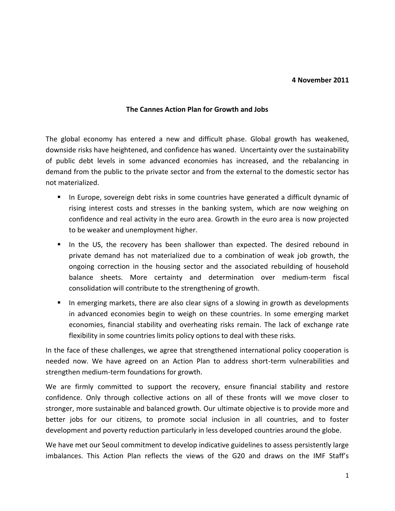## **4 November 2011**

## **The Cannes Action Plan for Growth and Jobs**

The global economy has entered a new and difficult phase. Global growth has weakened, downside risks have heightened, and confidence has waned. Uncertainty over the sustainability of public debt levels in some advanced economies has increased, and the rebalancing in demand from the public to the private sector and from the external to the domestic sector has not materialized.

- In Europe, sovereign debt risks in some countries have generated a difficult dynamic of rising interest costs and stresses in the banking system, which are now weighing on confidence and real activity in the euro area. Growth in the euro area is now projected to be weaker and unemployment higher.
- In the US, the recovery has been shallower than expected. The desired rebound in private demand has not materialized due to a combination of weak job growth, the ongoing correction in the housing sector and the associated rebuilding of household balance sheets. More certainty and determination over medium-term fiscal consolidation will contribute to the strengthening of growth.
- In emerging markets, there are also clear signs of a slowing in growth as developments in advanced economies begin to weigh on these countries. In some emerging market economies, financial stability and overheating risks remain. The lack of exchange rate flexibility in some countries limits policy options to deal with these risks.

In the face of these challenges, we agree that strengthened international policy cooperation is needed now. We have agreed on an Action Plan to address short-term vulnerabilities and strengthen medium-term foundations for growth.

We are firmly committed to support the recovery, ensure financial stability and restore confidence. Only through collective actions on all of these fronts will we move closer to stronger, more sustainable and balanced growth. Our ultimate objective is to provide more and better jobs for our citizens, to promote social inclusion in all countries, and to foster development and poverty reduction particularly in less developed countries around the globe.

We have met our Seoul commitment to develop indicative guidelines to assess persistently large imbalances. This Action Plan reflects the views of the G20 and draws on the IMF Staff's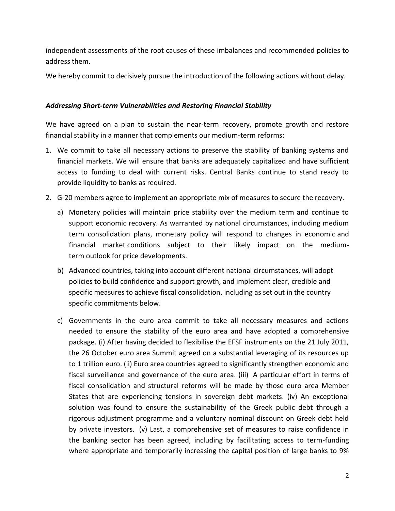independent assessments of the root causes of these imbalances and recommended policies to address them.

We hereby commit to decisively pursue the introduction of the following actions without delay.

## *Addressing Short-term Vulnerabilities and Restoring Financial Stability*

We have agreed on a plan to sustain the near-term recovery, promote growth and restore financial stability in a manner that complements our medium-term reforms:

- 1. We commit to take all necessary actions to preserve the stability of banking systems and financial markets. We will ensure that banks are adequately capitalized and have sufficient access to funding to deal with current risks. Central Banks continue to stand ready to provide liquidity to banks as required.
- 2. G-20 members agree to implement an appropriate mix of measures to secure the recovery.
	- a) Monetary policies will maintain price stability over the medium term and continue to support economic recovery. As warranted by national circumstances, including medium term consolidation plans, monetary policy will respond to changes in economic and financial market conditions subject to their likely impact on the mediumterm outlook for price developments.
	- b) Advanced countries, taking into account different national circumstances, will adopt policies to build confidence and support growth, and implement clear, credible and specific measures to achieve fiscal consolidation, including as set out in the country specific commitments below.
	- c) Governments in the euro area commit to take all necessary measures and actions needed to ensure the stability of the euro area and have adopted a comprehensive package. (i) After having decided to flexibilise the EFSF instruments on the 21 July 2011, the 26 October euro area Summit agreed on a substantial leveraging of its resources up to 1 trillion euro. (ii) Euro area countries agreed to significantly strengthen economic and fiscal surveillance and governance of the euro area. (iii) A particular effort in terms of fiscal consolidation and structural reforms will be made by those euro area Member States that are experiencing tensions in sovereign debt markets. (iv) An exceptional solution was found to ensure the sustainability of the Greek public debt through a rigorous adjustment programme and a voluntary nominal discount on Greek debt held by private investors. (v) Last, a comprehensive set of measures to raise confidence in the banking sector has been agreed, including by facilitating access to term-funding where appropriate and temporarily increasing the capital position of large banks to 9%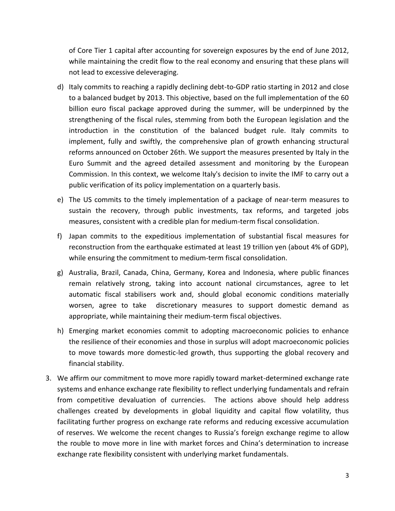of Core Tier 1 capital after accounting for sovereign exposures by the end of June 2012, while maintaining the credit flow to the real economy and ensuring that these plans will not lead to excessive deleveraging.

- d) Italy commits to reaching a rapidly declining debt-to-GDP ratio starting in 2012 and close to a balanced budget by 2013. This objective, based on the full implementation of the 60 billion euro fiscal package approved during the summer, will be underpinned by the strengthening of the fiscal rules, stemming from both the European legislation and the introduction in the constitution of the balanced budget rule. Italy commits to implement, fully and swiftly, the comprehensive plan of growth enhancing structural reforms announced on October 26th. We support the measures presented by Italy in the Euro Summit and the agreed detailed assessment and monitoring by the European Commission. In this context, we welcome Italy's decision to invite the IMF to carry out a public verification of its policy implementation on a quarterly basis.
- e) The US commits to the timely implementation of a package of near-term measures to sustain the recovery, through public investments, tax reforms, and targeted jobs measures, consistent with a credible plan for medium-term fiscal consolidation.
- f) Japan commits to the expeditious implementation of substantial fiscal measures for reconstruction from the earthquake estimated at least 19 trillion yen (about 4% of GDP), while ensuring the commitment to medium-term fiscal consolidation.
- g) Australia, Brazil, Canada, China, Germany, Korea and Indonesia, where public finances remain relatively strong, taking into account national circumstances, agree to let automatic fiscal stabilisers work and, should global economic conditions materially worsen, agree to take discretionary measures to support domestic demand as appropriate, while maintaining their medium-term fiscal objectives.
- h) Emerging market economies commit to adopting macroeconomic policies to enhance the resilience of their economies and those in surplus will adopt macroeconomic policies to move towards more domestic-led growth, thus supporting the global recovery and financial stability.
- 3. We affirm our commitment to move more rapidly toward market-determined exchange rate systems and enhance exchange rate flexibility to reflect underlying fundamentals and refrain from competitive devaluation of currencies. The actions above should help address challenges created by developments in global liquidity and capital flow volatility, thus facilitating further progress on exchange rate reforms and reducing excessive accumulation of reserves. We welcome the recent changes to Russia's foreign exchange regime to allow the rouble to move more in line with market forces and China's determination to increase exchange rate flexibility consistent with underlying market fundamentals.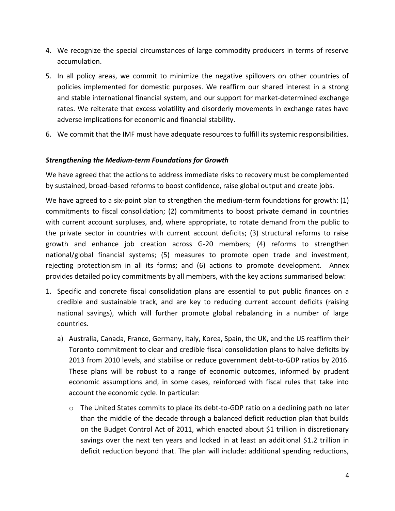- 4. We recognize the special circumstances of large commodity producers in terms of reserve accumulation.
- 5. In all policy areas, we commit to minimize the negative spillovers on other countries of policies implemented for domestic purposes. We reaffirm our shared interest in a strong and stable international financial system, and our support for market-determined exchange rates. We reiterate that excess volatility and disorderly movements in exchange rates have adverse implications for economic and financial stability.
- 6. We commit that the IMF must have adequate resources to fulfill its systemic responsibilities.

## *Strengthening the Medium-term Foundations for Growth*

We have agreed that the actions to address immediate risks to recovery must be complemented by sustained, broad-based reforms to boost confidence, raise global output and create jobs.

We have agreed to a six-point plan to strengthen the medium-term foundations for growth: (1) commitments to fiscal consolidation; (2) commitments to boost private demand in countries with current account surpluses, and, where appropriate, to rotate demand from the public to the private sector in countries with current account deficits; (3) structural reforms to raise growth and enhance job creation across G-20 members; (4) reforms to strengthen national/global financial systems; (5) measures to promote open trade and investment, rejecting protectionism in all its forms; and (6) actions to promote development. Annex provides detailed policy commitments by all members, with the key actions summarised below:

- 1. Specific and concrete fiscal consolidation plans are essential to put public finances on a credible and sustainable track, and are key to reducing current account deficits (raising national savings), which will further promote global rebalancing in a number of large countries.
	- a) Australia, Canada, France, Germany, Italy, Korea, Spain, the UK, and the US reaffirm their Toronto commitment to clear and credible fiscal consolidation plans to halve deficits by 2013 from 2010 levels, and stabilise or reduce government debt-to-GDP ratios by 2016. These plans will be robust to a range of economic outcomes, informed by prudent economic assumptions and, in some cases, reinforced with fiscal rules that take into account the economic cycle. In particular:
		- o The United States commits to place its debt-to-GDP ratio on a declining path no later than the middle of the decade through a balanced deficit reduction plan that builds on the Budget Control Act of 2011, which enacted about \$1 trillion in discretionary savings over the next ten years and locked in at least an additional \$1.2 trillion in deficit reduction beyond that. The plan will include: additional spending reductions,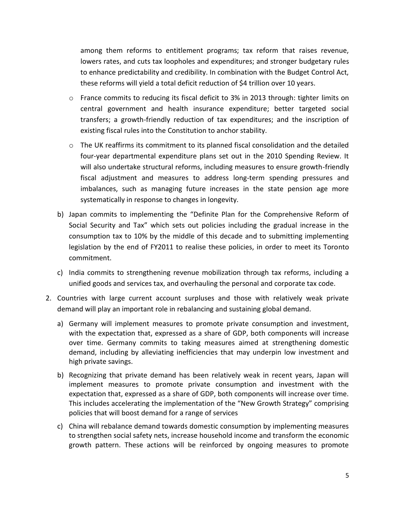among them reforms to entitlement programs; tax reform that raises revenue, lowers rates, and cuts tax loopholes and expenditures; and stronger budgetary rules to enhance predictability and credibility. In combination with the Budget Control Act, these reforms will yield a total deficit reduction of \$4 trillion over 10 years.

- o France commits to reducing its fiscal deficit to 3% in 2013 through: tighter limits on central government and health insurance expenditure; better targeted social transfers; a growth-friendly reduction of tax expenditures; and the inscription of existing fiscal rules into the Constitution to anchor stability.
- o The UK reaffirms its commitment to its planned fiscal consolidation and the detailed four-year departmental expenditure plans set out in the 2010 Spending Review. It will also undertake structural reforms, including measures to ensure growth-friendly fiscal adjustment and measures to address long-term spending pressures and imbalances, such as managing future increases in the state pension age more systematically in response to changes in longevity.
- b) Japan commits to implementing the "Definite Plan for the Comprehensive Reform of Social Security and Tax" which sets out policies including the gradual increase in the consumption tax to 10% by the middle of this decade and to submitting implementing legislation by the end of FY2011 to realise these policies, in order to meet its Toronto commitment.
- c) India commits to strengthening revenue mobilization through tax reforms, including a unified goods and services tax, and overhauling the personal and corporate tax code.
- 2. Countries with large current account surpluses and those with relatively weak private demand will play an important role in rebalancing and sustaining global demand.
	- a) Germany will implement measures to promote private consumption and investment, with the expectation that, expressed as a share of GDP, both components will increase over time. Germany commits to taking measures aimed at strengthening domestic demand, including by alleviating inefficiencies that may underpin low investment and high private savings.
	- b) Recognizing that private demand has been relatively weak in recent years, Japan will implement measures to promote private consumption and investment with the expectation that, expressed as a share of GDP, both components will increase over time. This includes accelerating the implementation of the "New Growth Strategy" comprising policies that will boost demand for a range of services
	- c) China will rebalance demand towards domestic consumption by implementing measures to strengthen social safety nets, increase household income and transform the economic growth pattern. These actions will be reinforced by ongoing measures to promote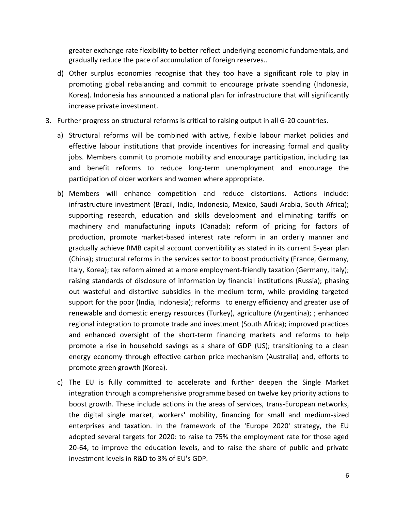greater exchange rate flexibility to better reflect underlying economic fundamentals, and gradually reduce the pace of accumulation of foreign reserves..

- d) Other surplus economies recognise that they too have a significant role to play in promoting global rebalancing and commit to encourage private spending (Indonesia, Korea). Indonesia has announced a national plan for infrastructure that will significantly increase private investment.
- 3. Further progress on structural reforms is critical to raising output in all G-20 countries.
	- a) Structural reforms will be combined with active, flexible labour market policies and effective labour institutions that provide incentives for increasing formal and quality jobs. Members commit to promote mobility and encourage participation, including tax and benefit reforms to reduce long-term unemployment and encourage the participation of older workers and women where appropriate.
	- b) Members will enhance competition and reduce distortions. Actions include: infrastructure investment (Brazil, India, Indonesia, Mexico, Saudi Arabia, South Africa); supporting research, education and skills development and eliminating tariffs on machinery and manufacturing inputs (Canada); reform of pricing for factors of production, promote market-based interest rate reform in an orderly manner and gradually achieve RMB capital account convertibility as stated in its current 5-year plan (China); structural reforms in the services sector to boost productivity (France, Germany, Italy, Korea); tax reform aimed at a more employment-friendly taxation (Germany, Italy); raising standards of disclosure of information by financial institutions (Russia); phasing out wasteful and distortive subsidies in the medium term, while providing targeted support for the poor (India, Indonesia); reforms to energy efficiency and greater use of renewable and domestic energy resources (Turkey), agriculture (Argentina); ; enhanced regional integration to promote trade and investment (South Africa); improved practices and enhanced oversight of the short-term financing markets and reforms to help promote a rise in household savings as a share of GDP (US); transitioning to a clean energy economy through effective carbon price mechanism (Australia) and, efforts to promote green growth (Korea).
	- c) The EU is fully committed to accelerate and further deepen the Single Market integration through a comprehensive programme based on twelve key priority actions to boost growth. These include actions in the areas of services, trans-European networks, the digital single market, workers' mobility, financing for small and medium-sized enterprises and taxation. In the framework of the 'Europe 2020' strategy, the EU adopted several targets for 2020: to raise to 75% the employment rate for those aged 20-64, to improve the education levels, and to raise the share of public and private investment levels in R&D to 3% of EU's GDP.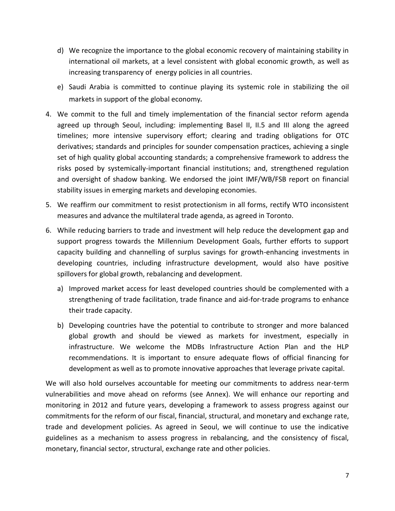- d) We recognize the importance to the global economic recovery of maintaining stability in international oil markets, at a level consistent with global economic growth, as well as increasing transparency of energy policies in all countries.
- e) Saudi Arabia is committed to continue playing its systemic role in stabilizing the oil markets in support of the global economy.
- 4. We commit to the full and timely implementation of the financial sector reform agenda agreed up through Seoul, including: implementing Basel II, II.5 and III along the agreed timelines; more intensive supervisory effort; clearing and trading obligations for OTC derivatives; standards and principles for sounder compensation practices, achieving a single set of high quality global accounting standards; a comprehensive framework to address the risks posed by systemically-important financial institutions; and, strengthened regulation and oversight of shadow banking. We endorsed the joint IMF/WB/FSB report on financial stability issues in emerging markets and developing economies.
- 5. We reaffirm our commitment to resist protectionism in all forms, rectify WTO inconsistent measures and advance the multilateral trade agenda, as agreed in Toronto.
- 6. While reducing barriers to trade and investment will help reduce the development gap and support progress towards the Millennium Development Goals, further efforts to support capacity building and channelling of surplus savings for growth-enhancing investments in developing countries, including infrastructure development, would also have positive spillovers for global growth, rebalancing and development.
	- a) Improved market access for least developed countries should be complemented with a strengthening of trade facilitation, trade finance and aid-for-trade programs to enhance their trade capacity.
	- b) Developing countries have the potential to contribute to stronger and more balanced global growth and should be viewed as markets for investment, especially in infrastructure. We welcome the MDBs Infrastructure Action Plan and the HLP recommendations. It is important to ensure adequate flows of official financing for development as well as to promote innovative approaches that leverage private capital.

We will also hold ourselves accountable for meeting our commitments to address near-term vulnerabilities and move ahead on reforms (see Annex). We will enhance our reporting and monitoring in 2012 and future years, developing a framework to assess progress against our commitments for the reform of our fiscal, financial, structural, and monetary and exchange rate, trade and development policies. As agreed in Seoul, we will continue to use the indicative guidelines as a mechanism to assess progress in rebalancing, and the consistency of fiscal, monetary, financial sector, structural, exchange rate and other policies.